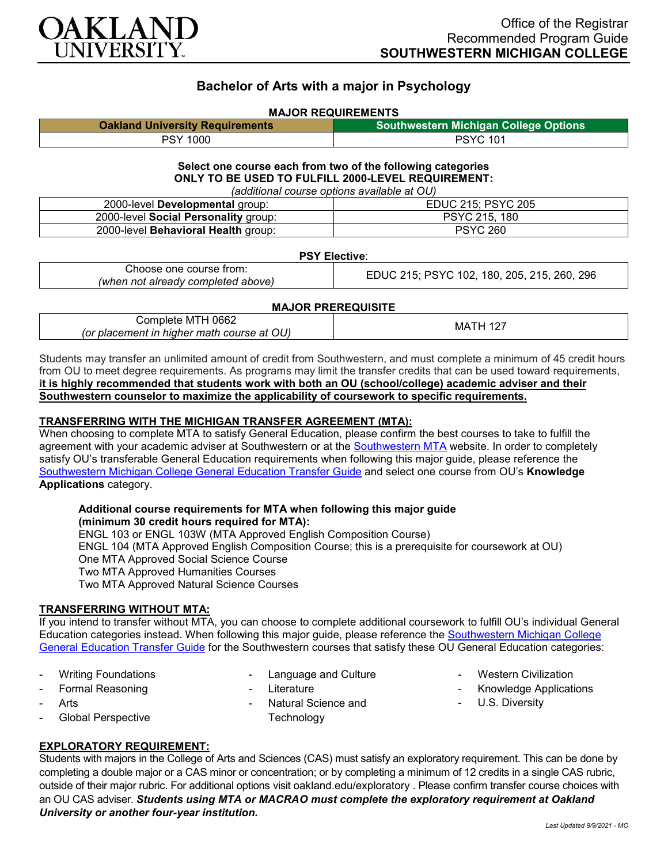

# **Bachelor of Arts with a major in Psychology**

#### **MAJOR REQUIREMENTS**

| <b>Oakland University Requirements</b> | <b>Southwestern Michigan College Options</b> |
|----------------------------------------|----------------------------------------------|
| PSY 1000                               | <b>PSYC 101</b>                              |

#### **Select one course each from two of the following categories ONLY TO BE USED TO FULFILL 2000-LEVEL REQUIREMENT:** *(additional course options available at OU)*

| radditional coarse options available at OOT |                    |  |
|---------------------------------------------|--------------------|--|
| 2000-level Developmental group:             | EDUC 215; PSYC 205 |  |
| 2000-level Social Personality group:        | PSYC 215, 180      |  |
| 2000-level Behavioral Health group:         | <b>PSYC 260</b>    |  |

#### **PSY Elective**:

|--|

#### **MAJOR PREREQUISITE**

| 0662<br>:omplete<br>M<br>$\sim$<br>hiaher math c<br>(or<br>placement<br>$\overline{\phantom{a}}$<br>course<br>: at<br>ישט<br>m | MA. |
|--------------------------------------------------------------------------------------------------------------------------------|-----|
|--------------------------------------------------------------------------------------------------------------------------------|-----|

Students may transfer an unlimited amount of credit from Southwestern, and must complete a minimum of 45 credit hours from OU to meet degree requirements. As programs may limit the transfer credits that can be used toward requirements, **it is highly recommended that students work with both an OU (school/college) academic adviser and their Southwestern counselor to maximize the applicability of coursework to specific requirements.**

#### **TRANSFERRING WITH THE MICHIGAN TRANSFER AGREEMENT (MTA):**

When choosing to complete MTA to satisfy General Education, please confirm the best courses to take to fulfill the agreement with your academic adviser at Southwestern or at the [Southwestern MTA](https://www.swmich.edu/sites/swmich.edu/files/academics/curriculum-guides/Michigan-Transfer-Agreement.pdf?v=2020-03-17T18:59:30Z) website. In order to completely satisfy OU's transferable General Education requirements when following this major guide, please reference the [Southwestern Michigan College General Education Transfer Guide](https://www.oakland.edu/Assets/Oakland/program-guides/southwestern-michigan-college/university-general-education-requirements/Southwestern%20Gen%20Ed.pdf) and select one course from OU's **Knowledge Applications** category.

#### **Additional course requirements for MTA when following this major guide (minimum 30 credit hours required for MTA):**

ENGL 103 or ENGL 103W (MTA Approved English Composition Course) ENGL 104 (MTA Approved English Composition Course; this is a prerequisite for coursework at OU) One MTA Approved Social Science Course Two MTA Approved Humanities Courses Two MTA Approved Natural Science Courses

#### **TRANSFERRING WITHOUT MTA:**

If you intend to transfer without MTA, you can choose to complete additional coursework to fulfill OU's individual General Education categories instead. When following this major guide, please reference the Southwestern Michigan College [General Education Transfer Guide](https://www.oakland.edu/Assets/Oakland/program-guides/southwestern-michigan-college/university-general-education-requirements/Southwestern%20Gen%20Ed.pdf) for the Southwestern courses that satisfy these OU General Education categories:

- Writing Foundations
- Formal Reasoning
- **Arts**
- Global Perspective
- Language and Culture
- **Literature**
- Natural Science and **Technology**
- **Western Civilization**
- Knowledge Applications
- U.S. Diversity

## **EXPLORATORY REQUIREMENT:**

Students with majors in the College of Arts and Sciences (CAS) must satisfy an exploratory requirement. This can be done by completing a double major or a CAS minor or concentration; or by completing a minimum of 12 credits in a single CAS rubric, outside of their major rubric. For additional options visit [oakland.edu/exploratory](http://www.oakland.edu/exploratory) . Please confirm transfer course choices with an OU CAS adviser. *Students using MTA or MACRAO must complete the exploratory requirement at Oakland University or another four-year institution.*